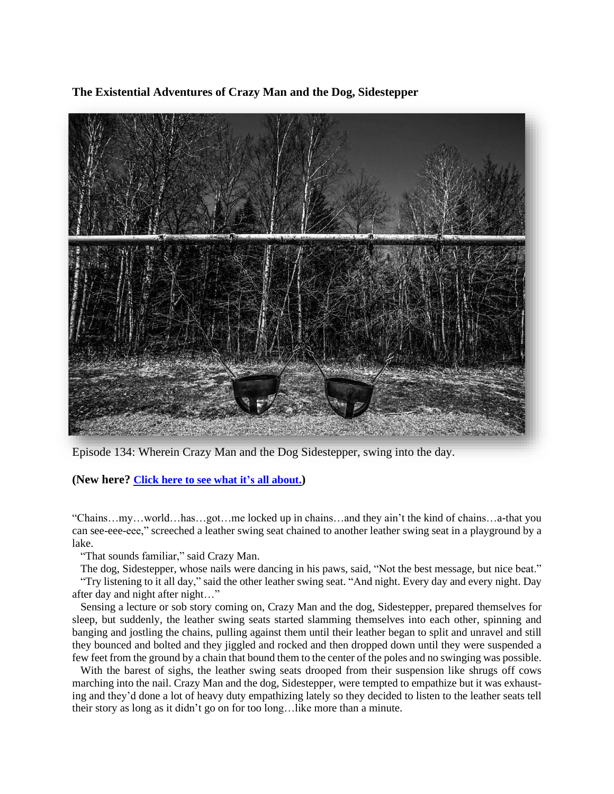**The Existential Adventures of Crazy Man and the Dog, Sidestepper**



Episode 134: Wherein Crazy Man and the Dog Sidestepper, swing into the day.

**(New here? Click here to see what it's all [about.](https://biffmitchell.com/crazy-man))** 

"Chains…my…world…has…got…me locked up in chains…and they ain't the kind of chains…a-that you can see-eee-eee," screeched a leather swing seat chained to another leather swing seat in a playground by a lake.

"That sounds familiar," said Crazy Man.

 The dog, Sidestepper, whose nails were dancing in his paws, said, "Not the best message, but nice beat." "Try listening to it all day," said the other leather swing seat. "And night. Every day and every night. Day

after day and night after night…" Sensing a lecture or sob story coming on, Crazy Man and the dog, Sidestepper, prepared themselves for sleep, but suddenly, the leather swing seats started slamming themselves into each other, spinning and banging and jostling the chains, pulling against them until their leather began to split and unravel and still they bounced and bolted and they jiggled and rocked and then dropped down until they were suspended a few feet from the ground by a chain that bound them to the center of the poles and no swinging was possible.

 With the barest of sighs, the leather swing seats drooped from their suspension like shrugs off cows marching into the nail. Crazy Man and the dog, Sidestepper, were tempted to empathize but it was exhausting and they'd done a lot of heavy duty empathizing lately so they decided to listen to the leather seats tell their story as long as it didn't go on for too long…like more than a minute.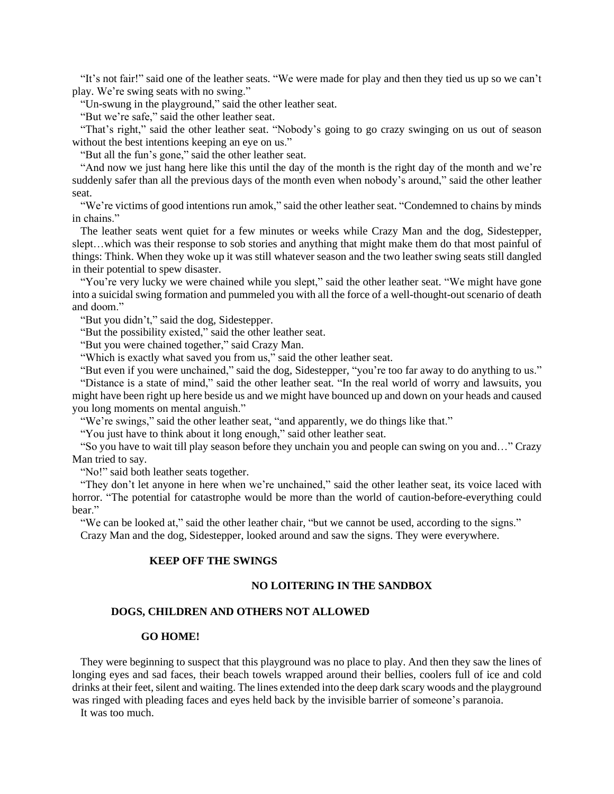"It's not fair!" said one of the leather seats. "We were made for play and then they tied us up so we can't play. We're swing seats with no swing."

"Un-swung in the playground," said the other leather seat.

"But we're safe," said the other leather seat.

 "That's right," said the other leather seat. "Nobody's going to go crazy swinging on us out of season without the best intentions keeping an eye on us."

"But all the fun's gone," said the other leather seat.

 "And now we just hang here like this until the day of the month is the right day of the month and we're suddenly safer than all the previous days of the month even when nobody's around," said the other leather seat.

 "We're victims of good intentions run amok," said the other leather seat. "Condemned to chains by minds in chains."

 The leather seats went quiet for a few minutes or weeks while Crazy Man and the dog, Sidestepper, slept…which was their response to sob stories and anything that might make them do that most painful of things: Think. When they woke up it was still whatever season and the two leather swing seats still dangled in their potential to spew disaster.

"You're very lucky we were chained while you slept," said the other leather seat. "We might have gone into a suicidal swing formation and pummeled you with all the force of a well-thought-out scenario of death and doom."

"But you didn't," said the dog, Sidestepper.

"But the possibility existed," said the other leather seat.

"But you were chained together," said Crazy Man.

"Which is exactly what saved you from us," said the other leather seat.

 "But even if you were unchained," said the dog, Sidestepper, "you're too far away to do anything to us." "Distance is a state of mind," said the other leather seat. "In the real world of worry and lawsuits, you might have been right up here beside us and we might have bounced up and down on your heads and caused

you long moments on mental anguish."

"We're swings," said the other leather seat, "and apparently, we do things like that."

"You just have to think about it long enough," said other leather seat.

 "So you have to wait till play season before they unchain you and people can swing on you and…" Crazy Man tried to say.

"No!" said both leather seats together.

 "They don't let anyone in here when we're unchained," said the other leather seat, its voice laced with horror. "The potential for catastrophe would be more than the world of caution-before-everything could bear."

 "We can be looked at," said the other leather chair, "but we cannot be used, according to the signs." Crazy Man and the dog, Sidestepper, looked around and saw the signs. They were everywhere.

## **KEEP OFF THE SWINGS**

## **NO LOITERING IN THE SANDBOX**

#### **DOGS, CHILDREN AND OTHERS NOT ALLOWED**

#### **GO HOME!**

 They were beginning to suspect that this playground was no place to play. And then they saw the lines of longing eyes and sad faces, their beach towels wrapped around their bellies, coolers full of ice and cold drinks at their feet, silent and waiting. The lines extended into the deep dark scary woods and the playground was ringed with pleading faces and eyes held back by the invisible barrier of someone's paranoia.

It was too much.